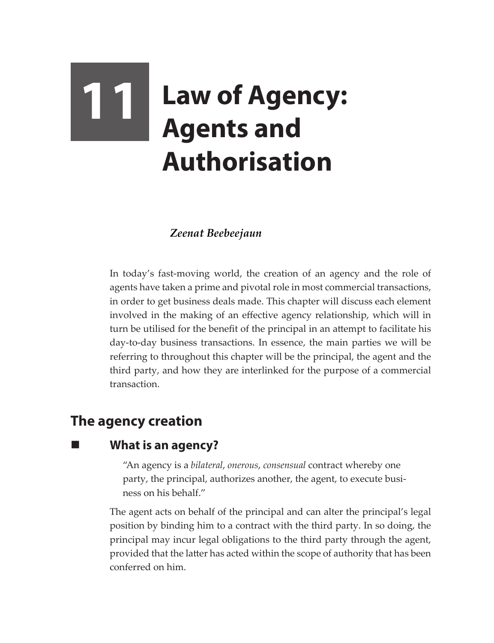# **11 Law of Agency:**<br>Agents and **Agents and Authorisation**

## *Zeenat Beebeejaun*

In today's fast-moving world, the creation of an agency and the role of agents have taken a prime and pivotal role in most commercial transactions, in order to get business deals made. This chapter will discuss each element involved in the making of an effective agency relationship, which will in turn be utilised for the benefit of the principal in an attempt to facilitate his day-to-day business transactions. In essence, the main parties we will be referring to throughout this chapter will be the principal, the agent and the third party, and how they are interlinked for the purpose of a commercial transaction.

# **The agency creation**

## **What is an agency?**

"An agency is a *bilateral*, *onerous*, *consensual* contract whereby one party, the principal, authorizes another, the agent, to execute business on his behalf."

The agent acts on behalf of the principal and can alter the principal's legal position by binding him to a contract with the third party. In so doing, the principal may incur legal obligations to the third party through the agent, provided that the latter has acted within the scope of authority that has been conferred on him.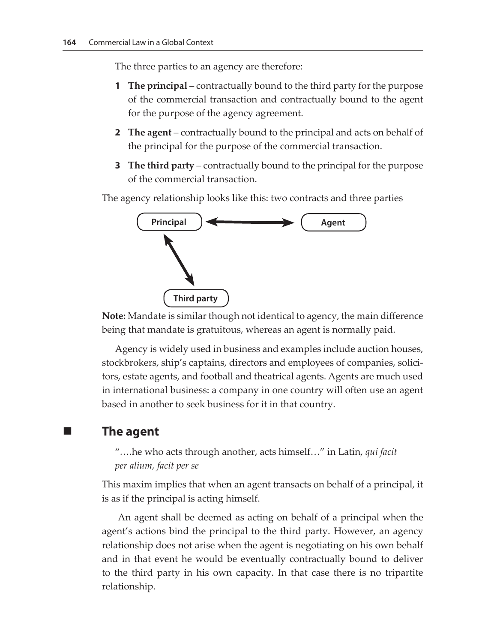The three parties to an agency are therefore:

- **1 The principal**  contractually bound to the third party for the purpose of the commercial transaction and contractually bound to the agent for the purpose of the agency agreement.
- **2 The agent** contractually bound to the principal and acts on behalf of the principal for the purpose of the commercial transaction.
- **3 The third party** contractually bound to the principal for the purpose of the commercial transaction.

The agency relationship looks like this: two contracts and three parties



**Note:** Mandate is similar though not identical to agency, the main difference being that mandate is gratuitous, whereas an agent is normally paid.

Agency is widely used in business and examples include auction houses, stockbrokers, ship's captains, directors and employees of companies, solicitors, estate agents, and football and theatrical agents. Agents are much used in international business: a company in one country will often use an agent based in another to seek business for it in that country.

### **The agent**

"*….*he who acts through another, acts himself…" in Latin, *qui facit per alium, facit per se*

This maxim implies that when an agent transacts on behalf of a principal, it is as if the principal is acting himself.

 An agent shall be deemed as acting on behalf of a principal when the agent's actions bind the principal to the third party. However, an agency relationship does not arise when the agent is negotiating on his own behalf and in that event he would be eventually contractually bound to deliver to the third party in his own capacity. In that case there is no tripartite relationship.